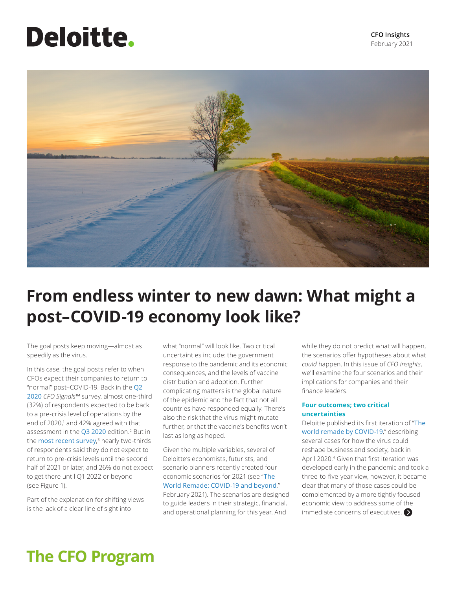# <span id="page-0-0"></span>**Deloitte.**



# **From endless winter to new dawn: What might a post–COVID-19 economy look like?**

The goal posts keep moving—almost as speedily as the virus.

In this case, the goal posts refer to when CFOs expect their companies to return to "normal" post–COVID-19. Back in the [Q2](https://www2.deloitte.com/us/en/pages/finance/articles/reopening-for-business-but-near-normal-operating-levels-not-expected-until-next-year.html)  [2020](https://www2.deloitte.com/us/en/pages/finance/articles/reopening-for-business-but-near-normal-operating-levels-not-expected-until-next-year.html) *CFO Signals™* survey, almost one-third (32%) of respondents expected to be back to a pre-crisis level of operations by the end of 2020[,1](#page-3-0) and 42% agreed with that assessment in the [Q3 2020](https://www2.deloitte.com/us/en/pages/finance/articles/some-economic-recovery-but-growing-skepticism-about-the-pace-going-forward.html) edition.<sup>[2](#page-3-0)</sup> But in the **[most recent survey](https://www2.deloitte.com/us/en/pages/finance/articles/optimism-entering-2021-but-near-normal-operations-mostly-expected-second-half-or-later.html),**<sup>[3](#page-3-0)</sup> nearly two-thirds of respondents said they do not expect to return to pre-crisis levels until the second half of 2021 or later, and 26% do not expect to get there until Q1 2022 or beyond (see Figure 1).

Part of the explanation for shifting views is the lack of a clear line of sight into

what "normal" will look like. Two critical uncertainties include: the government response to the pandemic and its economic consequences, and the levels of vaccine distribution and adoption. Further complicating matters is the global nature of the epidemic and the fact that not all countries have responded equally. There's also the risk that the virus might mutate further, or that the vaccine's benefits won't last as long as hoped.

Given the multiple variables, several of Deloitte's economists, futurists, and scenario planners recently created four economic scenarios for 2021 (see "[The](https://www2.deloitte.com/global/en/pages/about-deloitte/articles/covid-19/covid-19-planning-scenarios-for-business-leaders-resilient-world-remade.html)  [World Remade: COVID-19 and beyond](https://www2.deloitte.com/global/en/pages/about-deloitte/articles/covid-19/covid-19-planning-scenarios-for-business-leaders-resilient-world-remade.html)," February 2021). The scenarios are designed to guide leaders in their strategic, financial, and operational planning for this year. And

while they do not predict what will happen, the scenarios offer hypotheses about what *could* happen. In this issue of *CFO Insights*, we'll examine the four scenarios and their implications for companies and their finance leaders.

## **Four outcomes; two critical uncertainties**

Deloitte published its first iteration of "[The](https://www2.deloitte.com/global/en/pages/about-deloitte/articles/covid-19/covid-19-planning-scenarios-for-business-leaders-resilient-world-remade.html)  [world remade by COVID-19](https://www2.deloitte.com/global/en/pages/about-deloitte/articles/covid-19/covid-19-planning-scenarios-for-business-leaders-resilient-world-remade.html)," describing several cases for how the virus could reshape business and society, back in April 2020[.4](#page-3-0) Given that first iteration was developed early in the pandemic and took a three-to-five-year view, however, it became clear that many of those cases could be complemented by a more tightly focused economic view to address some of the immediate concerns of executives.  $\blacktriangleright$ 

## **The CFO Program**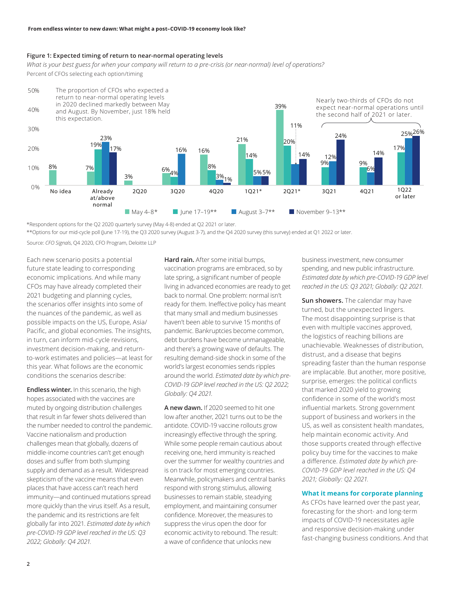## **Figure 1: Expected timing of return to near-normal operating levels**

*What is your best guess for when your company will return to a pre-crisis (or near-normal) level of operations?* Percent of CFOs selecting each option/timing



\*Respondent options for the Q2 2020 quarterly survey (May 4-8) ended at Q2 2021 or later.

\*\*Options for our mid-cycle poll (June 17-19), the Q3 2020 survey (August 3-7), and the Q4 2020 survey (this survey) ended at Q1 2022 or later.

Source: *CFO Signals*, Q4 2020, CFO Program, Deloitte LLP

Each new scenario posits a potential future state leading to corresponding economic implications. And while many CFOs may have already completed their 2021 budgeting and planning cycles, the scenarios offer insights into some of the nuances of the pandemic, as well as possible impacts on the US, Europe, Asia/ Pacific, and global economies. The insights, in turn, can inform mid-cycle revisions, investment decision-making, and returnto-work estimates and policies—at least for this year. What follows are the economic conditions the scenarios describe:

**Endless winter.** In this scenario, the high hopes associated with the vaccines are muted by ongoing distribution challenges that result in far fewer shots delivered than the number needed to control the pandemic. Vaccine nationalism and production challenges mean that globally, dozens of middle-income countries can't get enough doses and suffer from both slumping supply and demand as a result. Widespread skepticism of the vaccine means that even places that have access can't reach herd immunity—and continued mutations spread more quickly than the virus itself. As a result, the pandemic and its restrictions are felt globally far into 2021. *Estimated date by which pre-COVID-19 GDP level reached in the US: Q3 2022; Globally: Q4 2021.*

**Hard rain.** After some initial bumps, vaccination programs are embraced, so by late spring, a significant number of people living in advanced economies are ready to get back to normal. One problem: normal isn't ready for them. Ineffective policy has meant that many small and medium businesses haven't been able to survive 15 months of pandemic. Bankruptcies become common, debt burdens have become unmanageable, and there's a growing wave of defaults. The resulting demand-side shock in some of the world's largest economies sends ripples around the world. *Estimated date by which pre-COVID-19 GDP level reached in the US: Q2 2022; Globally: Q4 2021.*

**A new dawn.** If 2020 seemed to hit one low after another, 2021 turns out to be the antidote. COVID-19 vaccine rollouts grow increasingly effective through the spring. While some people remain cautious about receiving one, herd immunity is reached over the summer for wealthy countries and is on track for most emerging countries. Meanwhile, policymakers and central banks respond with strong stimulus, allowing businesses to remain stable, steadying employment, and maintaining consumer confidence. Moreover, the measures to suppress the virus open the door for economic activity to rebound. The result: a wave of confidence that unlocks new

business investment, new consumer spending, and new public infrastructure. *Estimated date by which pre-COVID-19 GDP level reached in the US: Q3 2021; Globally: Q2 2021.*

**Sun showers.** The calendar may have turned, but the unexpected lingers. The most disappointing surprise is that even with multiple vaccines approved, the logistics of reaching billions are unachievable. Weaknesses of distribution, distrust, and a disease that begins spreading faster than the human response are implacable. But another, more positive, surprise, emerges: the political conflicts that marked 2020 yield to growing confidence in some of the world's most influential markets. Strong government support of business and workers in the US, as well as consistent health mandates, help maintain economic activity. And those supports created through effective policy buy time for the vaccines to make a difference. *Estimated date by which pre-COVID-19 GDP level reached in the US: Q4 2021; Globally: Q2 2021.*

## **What it means for corporate planning**

As CFOs have learned over the past year, forecasting for the short- and long-term impacts of COVID-19 necessitates agile and responsive decision-making under fast-changing business conditions. And that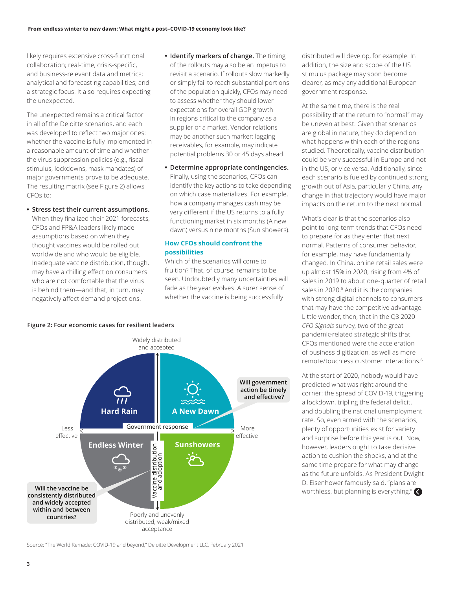<span id="page-2-0"></span>likely requires extensive cross-functional collaboration; real-time, crisis-specific, and business-relevant data and metrics; analytical and forecasting capabilities; and a strategic focus. It also requires expecting the unexpected.

The unexpected remains a critical factor in all of the Deloitte scenarios, and each was developed to reflect two major ones: whether the vaccine is fully implemented in a reasonable amount of time and whether the virus suppression policies (e.g., fiscal stimulus, lockdowns, mask mandates) of major governments prove to be adequate. The resulting matrix (see Figure 2) allows CFOs to:

- **• Stress test their current assumptions.**  When they finalized their 2021 forecasts, CFOs and FP&A leaders likely made assumptions based on when they thought vaccines would be rolled out worldwide and who would be eligible. Inadequate vaccine distribution, though, may have a chilling effect on consumers who are not comfortable that the virus is behind them—and that, in turn, may negatively affect demand projections.
- **• Identify markers of change.** The timing of the rollouts may also be an impetus to revisit a scenario. If rollouts slow markedly or simply fail to reach substantial portions of the population quickly, CFOs may need to assess whether they should lower expectations for overall GDP growth in regions critical to the company as a supplier or a market. Vendor relations may be another such marker: lagging receivables, for example, may indicate potential problems 30 or 45 days ahead.
- **• Determine appropriate contingencies.** Finally, using the scenarios, CFOs can identify the key actions to take depending on which case materializes. For example, how a company manages cash may be very different if the US returns to a fully functioning market in six months (A new dawn) versus nine months (Sun showers).

## **How CFOs should confront the possibilities**

Which of the scenarios will come to fruition? That, of course, remains to be seen. Undoubtedly many uncertainties will fade as the year evolves. A surer sense of whether the vaccine is being successfully

distributed will develop, for example. In addition, the size and scope of the US stimulus package may soon become clearer, as may any additional European government response.

At the same time, there is the real possibility that the return to "normal" may be uneven at best. Given that scenarios are global in nature, they do depend on what happens within each of the regions studied. Theoretically, vaccine distribution could be very successful in Europe and not in the US, or vice versa. Additionally, since each scenario is fueled by continued strong growth out of Asia, particularly China, any change in that trajectory would have major impacts on the return to the next normal.

What's clear is that the scenarios also point to long-term trends that CFOs need to prepare for as they enter that next normal. Patterns of consumer behavior, for example, may have fundamentally changed. In China, online retail sales were up almost 15% in 2020, rising from 4% of sales in 2019 to about one-quarter of retail sales in 2020.<sup>5</sup> And it is the companies with strong digital channels to consumers that may have the competitive advantage. Little wonder, then, that in the Q3 2020 *CFO Signals* survey, two of the great pandemic-related strategic shifts that CFOs mentioned were the acceleration of business digitization, as well as more remote/touchless customer interactions.[6](#page-3-0)

At the start of 2020, nobody would have predicted what was right around the corner: the spread of COVID-19, triggering a lockdown, tripling the federal deficit, and doubling the national unemployment rate. So, even armed with the scenarios, plenty of opportunities exist for variety and surprise before this year is out. Now, however, leaders ought to take decisive action to cushion the shocks, and at the same time prepare for what may change as the future unfolds. As President Dwight D. Eisenhower famously said, "plans are worthless, but planning is everything."



**Figure 2: Four economic cases for resilient leaders**

Source: "The World Remade: COVID-19 and beyond," Deloitte Development LLC, February 2021